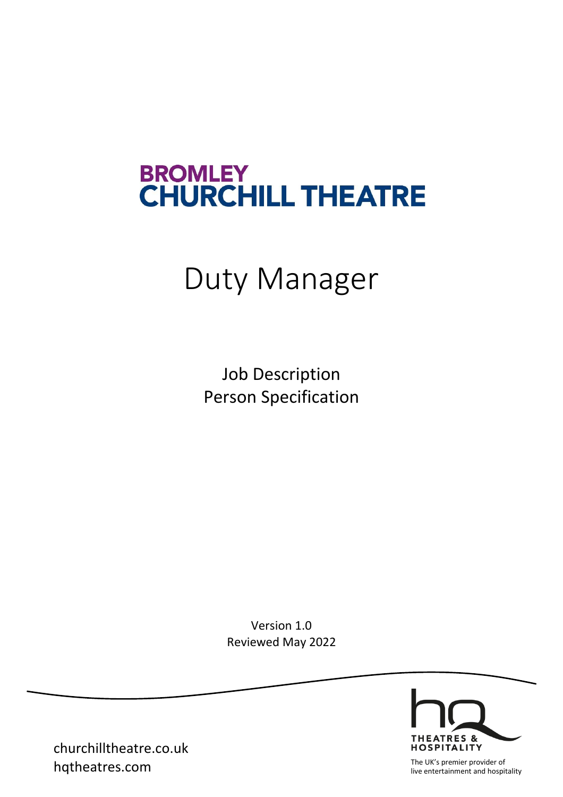# BROMLEY<br>CHURCHILL THEATRE

# Duty Manager

Job Description Person Specification

> Version 1.0 Reviewed May 2022



churchilltheatre.co.uk **hqtheatres.com** The UK's premier provider of The UK's premier provider of The UK's premier provider of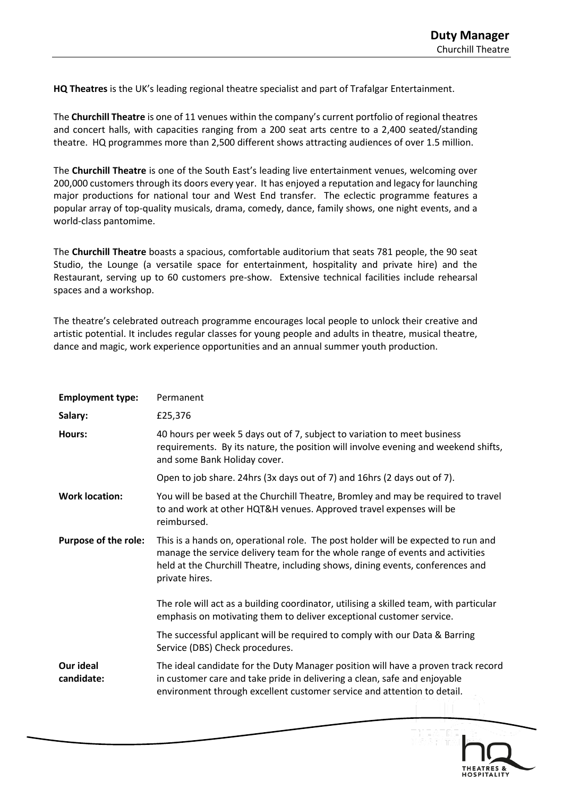**HQ Theatres** is the UK's leading regional theatre specialist and part of Trafalgar Entertainment.

The **Churchill Theatre** is one of 11 venues within the company's current portfolio of regional theatres and concert halls, with capacities ranging from a 200 seat arts centre to a 2,400 seated/standing theatre. HQ programmes more than 2,500 different shows attracting audiences of over 1.5 million.

The **Churchill Theatre** is one of the South East's leading live entertainment venues, welcoming over 200,000 customers through its doors every year. It has enjoyed a reputation and legacy for launching major productions for national tour and West End transfer. The eclectic programme features a popular array of top-quality musicals, drama, comedy, dance, family shows, one night events, and a world-class pantomime.

The **Churchill Theatre** boasts a spacious, comfortable auditorium that seats 781 people, the 90 seat Studio, the Lounge (a versatile space for entertainment, hospitality and private hire) and the Restaurant, serving up to 60 customers pre-show. Extensive technical facilities include rehearsal spaces and a workshop.

The theatre's celebrated outreach programme encourages local people to unlock their creative and artistic potential. It includes regular classes for young people and adults in theatre, musical theatre, dance and magic, work experience opportunities and an annual summer youth production.

| <b>Employment type:</b>     | Permanent                                                                                                                                                                                                                                                              |
|-----------------------------|------------------------------------------------------------------------------------------------------------------------------------------------------------------------------------------------------------------------------------------------------------------------|
| Salary:                     | £25,376                                                                                                                                                                                                                                                                |
| Hours:                      | 40 hours per week 5 days out of 7, subject to variation to meet business<br>requirements. By its nature, the position will involve evening and weekend shifts,<br>and some Bank Holiday cover.                                                                         |
|                             | Open to job share. 24hrs (3x days out of 7) and 16hrs (2 days out of 7).                                                                                                                                                                                               |
| <b>Work location:</b>       | You will be based at the Churchill Theatre, Bromley and may be required to travel<br>to and work at other HQT&H venues. Approved travel expenses will be<br>reimbursed.                                                                                                |
| <b>Purpose of the role:</b> | This is a hands on, operational role. The post holder will be expected to run and<br>manage the service delivery team for the whole range of events and activities<br>held at the Churchill Theatre, including shows, dining events, conferences and<br>private hires. |
|                             | The role will act as a building coordinator, utilising a skilled team, with particular<br>emphasis on motivating them to deliver exceptional customer service.                                                                                                         |
|                             | The successful applicant will be required to comply with our Data & Barring<br>Service (DBS) Check procedures.                                                                                                                                                         |
| Our ideal<br>candidate:     | The ideal candidate for the Duty Manager position will have a proven track record<br>in customer care and take pride in delivering a clean, safe and enjoyable<br>environment through excellent customer service and attention to detail.                              |

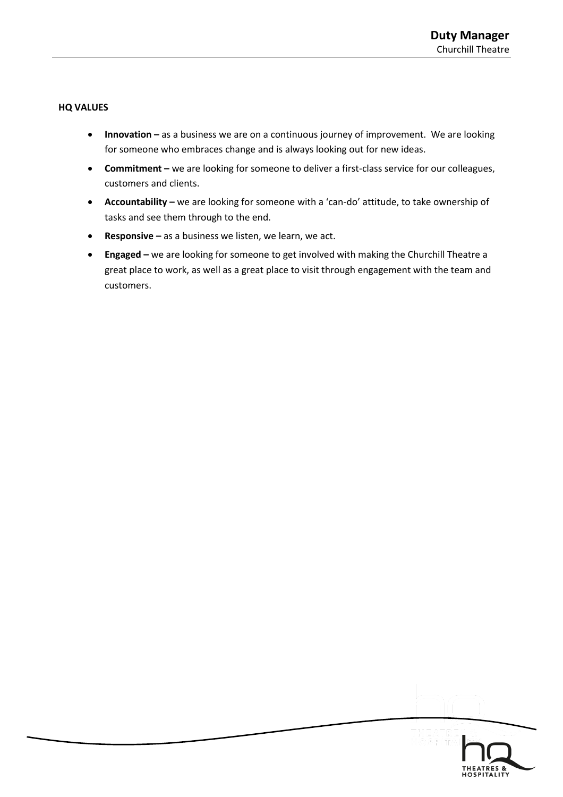# **HQ VALUES**

- **Innovation** as a business we are on a continuous journey of improvement. We are looking for someone who embraces change and is always looking out for new ideas.
- **Commitment –** we are looking for someone to deliver a first-class service for our colleagues, customers and clients.
- **Accountability –** we are looking for someone with a 'can-do' attitude, to take ownership of tasks and see them through to the end.
- **Responsive –** as a business we listen, we learn, we act.
- **Engaged –** we are looking for someone to get involved with making the Churchill Theatre a great place to work, as well as a great place to visit through engagement with the team and customers.

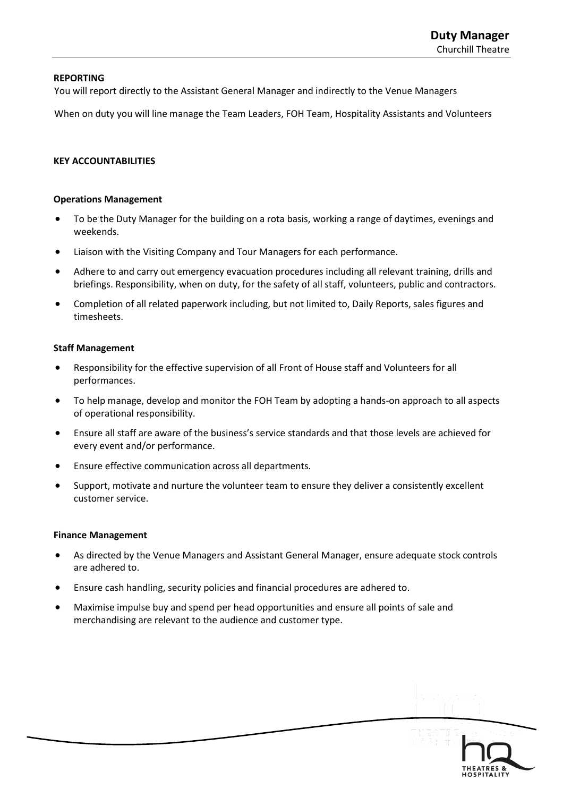#### **REPORTING**

You will report directly to the Assistant General Manager and indirectly to the Venue Managers

When on duty you will line manage the Team Leaders, FOH Team, Hospitality Assistants and Volunteers

#### **KEY ACCOUNTABILITIES**

#### **Operations Management**

- To be the Duty Manager for the building on a rota basis, working a range of daytimes, evenings and weekends.
- Liaison with the Visiting Company and Tour Managers for each performance.
- Adhere to and carry out emergency evacuation procedures including all relevant training, drills and briefings. Responsibility, when on duty, for the safety of all staff, volunteers, public and contractors.
- Completion of all related paperwork including, but not limited to, Daily Reports, sales figures and timesheets.

#### **Staff Management**

- Responsibility for the effective supervision of all Front of House staff and Volunteers for all performances.
- To help manage, develop and monitor the FOH Team by adopting a hands-on approach to all aspects of operational responsibility.
- Ensure all staff are aware of the business's service standards and that those levels are achieved for every event and/or performance.
- Ensure effective communication across all departments.
- Support, motivate and nurture the volunteer team to ensure they deliver a consistently excellent customer service.

#### **Finance Management**

- As directed by the Venue Managers and Assistant General Manager, ensure adequate stock controls are adhered to.
- Ensure cash handling, security policies and financial procedures are adhered to.
- Maximise impulse buy and spend per head opportunities and ensure all points of sale and merchandising are relevant to the audience and customer type.

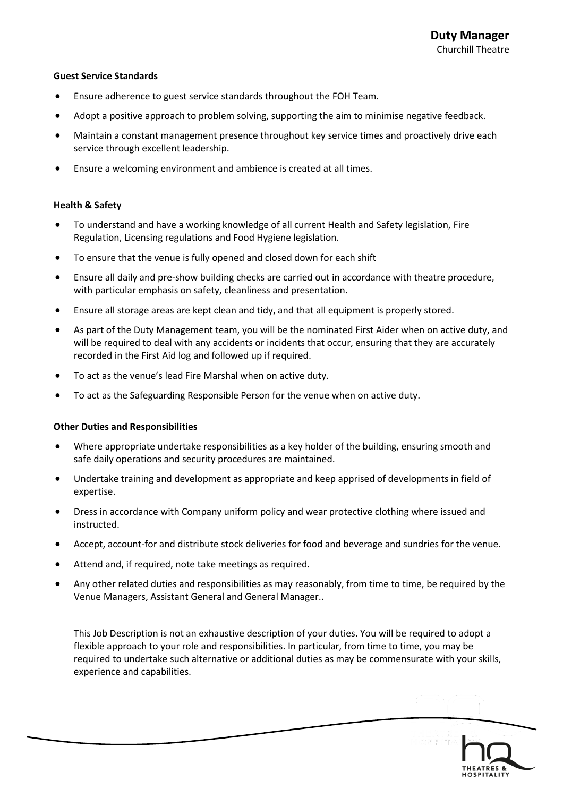# **Guest Service Standards**

- Ensure adherence to guest service standards throughout the FOH Team.
- Adopt a positive approach to problem solving, supporting the aim to minimise negative feedback.
- Maintain a constant management presence throughout key service times and proactively drive each service through excellent leadership.
- Ensure a welcoming environment and ambience is created at all times.

# **Health & Safety**

- To understand and have a working knowledge of all current Health and Safety legislation, Fire Regulation, Licensing regulations and Food Hygiene legislation.
- To ensure that the venue is fully opened and closed down for each shift
- Ensure all daily and pre-show building checks are carried out in accordance with theatre procedure, with particular emphasis on safety, cleanliness and presentation.
- Ensure all storage areas are kept clean and tidy, and that all equipment is properly stored.
- As part of the Duty Management team, you will be the nominated First Aider when on active duty, and will be required to deal with any accidents or incidents that occur, ensuring that they are accurately recorded in the First Aid log and followed up if required.
- To act as the venue's lead Fire Marshal when on active duty.
- To act as the Safeguarding Responsible Person for the venue when on active duty.

# **Other Duties and Responsibilities**

- Where appropriate undertake responsibilities as a key holder of the building, ensuring smooth and safe daily operations and security procedures are maintained.
- Undertake training and development as appropriate and keep apprised of developments in field of expertise.
- Dress in accordance with Company uniform policy and wear protective clothing where issued and instructed.
- Accept, account-for and distribute stock deliveries for food and beverage and sundries for the venue.
- Attend and, if required, note take meetings as required.
- Any other related duties and responsibilities as may reasonably, from time to time, be required by the Venue Managers, Assistant General and General Manager..

This Job Description is not an exhaustive description of your duties. You will be required to adopt a flexible approach to your role and responsibilities. In particular, from time to time, you may be required to undertake such alternative or additional duties as may be commensurate with your skills, experience and capabilities.